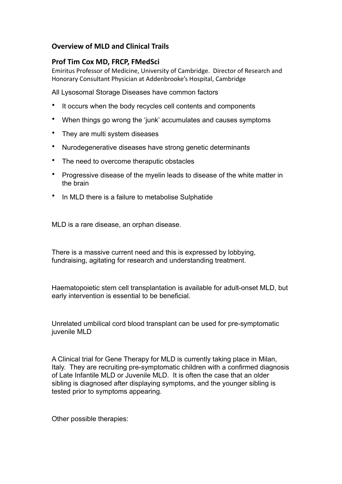## **Overview of MLD and Clinical Trails**

## **Prof Tim Cox MD, FRCP, FMedSci**

Emiritus Professor of Medicine, University of Cambridge. Director of Research and Honorary Consultant Physician at Addenbrooke's Hospital, Cambridge

All Lysosomal Storage Diseases have common factors

- It occurs when the body recycles cell contents and components
- When things go wrong the 'junk' accumulates and causes symptoms
- They are multi system diseases
- Nurodegenerative diseases have strong genetic determinants
- The need to overcome theraputic obstacles
- Progressive disease of the myelin leads to disease of the white matter in the brain
- In MLD there is a failure to metabolise Sulphatide

MLD is a rare disease, an orphan disease.

There is a massive current need and this is expressed by lobbying, fundraising, agitating for research and understanding treatment.

Haematopoietic stem cell transplantation is available for adult-onset MLD, but early intervention is essential to be beneficial.

Unrelated umbilical cord blood transplant can be used for pre-symptomatic juvenile MLD

A Clinical trial for Gene Therapy for MLD is currently taking place in Milan, Italy. They are recruiting pre-symptomatic children with a confirmed diagnosis of Late Infantile MLD or Juvenile MLD. It is often the case that an older sibling is diagnosed after displaying symptoms, and the younger sibling is tested prior to symptoms appearing.

Other possible therapies: